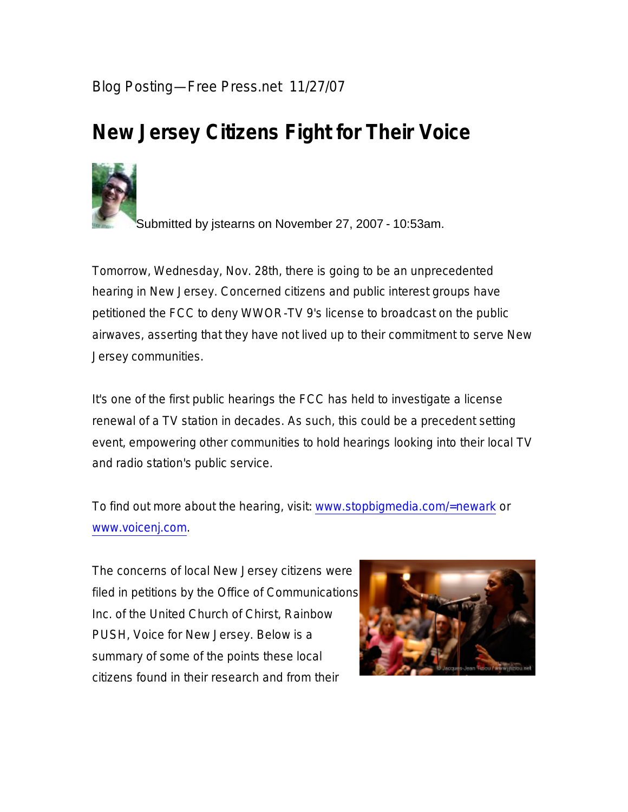## Blog Posting—Free Press.net 11/27/07

## **New Jersey Citizens Fight for Their Voice**



Submitted by jstearns on November 27, 2007 - 10:53am.

Tomorrow, Wednesday, Nov. 28th, there is going to be an unprecedented hearing in New Jersey. Concerned citizens and public interest groups have petitioned the FCC to deny WWOR-TV 9's license to broadcast on the public airwaves, asserting that they have not lived up to their commitment to serve New Jersey communities.

It's one of the first public hearings the FCC has held to investigate a license renewal of a TV station in decades. As such, this could be a precedent setting event, empowering other communities to hold hearings looking into their local TV and radio station's public service.

To find out more about the hearing, visit: www.stopbigmedia.com/=newark or www.voicenj.com.

The concerns of local New Jersey citizens were filed in petitions by the Office of Communications Inc. of the United Church of Chirst, Rainbow PUSH, Voice for New Jersey. Below is a summary of some of the points these local citizens found in their research and from their